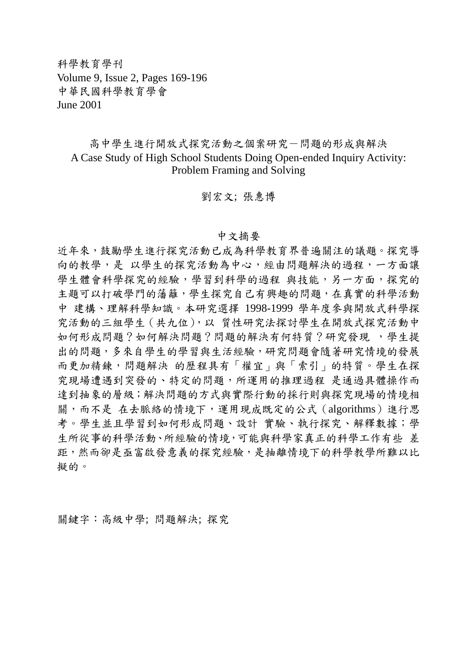科學教育學刊 Volume 9, Issue 2, Pages 169-196 中華民國科學教育學會 June 2001

## 高中學生進行開放式探究活動之個案研究-問題的形成與解決 A Case Study of High School Students Doing Open-ended Inquiry Activity: Problem Framing and Solving

劉宏文; 張惠博

## 中文摘要

近年來,鼓勵學生進行探究活動已成為科學教育界普遍關注的議題。探究導 向的教學,是以學生的探究活動為中心,經由問題解決的過程,一方面讓 學生體會科學探究的經驗,學習到科學的過程與技能,另一方面,探究的 主題可以打破學門的藩籬,學生探究自己有興趣的問題,在真實的科學活動 中 建構、理解科學知識。本研究選擇 1998-1999 學年度參與開放式科學探 究活動的三組學生(共九位),以 質性研究法探討學生在開放式探究活動中 如何形成問題?如何解決問題?問題的解決有何特質?研究發現,學生提 出的問題,多來自學生的學習與生活經驗,研究問題會隨著研究情境的發展 而更加精鍊,問題解決 的歷程具有「權宜」與「索引」的特質。學生在探 究現場遭遇到突發的、特定的問題,所運用的推理過程 是通過具體操作而 達到抽象的層級;解決問題的方式與實際行動的採行則與探究現場的情境相 關,而不是在去脈絡的情境下,運用現成既定的公式(algorithms)進行思 考。學生並且學習到如何形成問題、設計 實驗、執行探究、解釋數據;學 生所從事的科學活動、所經驗的情境,可能與科學家真正的科學工作有些 差 距,然而卻是亟富啟發意義的探究經驗,是抽離情境下的科學教學所難以比 擬的。

關鍵字:高級中學; 問題解決; 探究